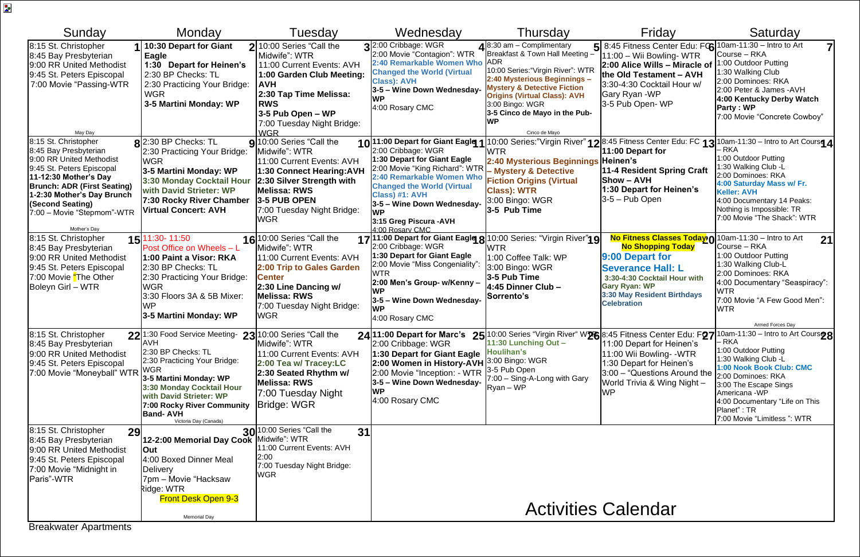Memorial Day

| Sunday                                                                                                                                                                                                                                                                           | Monday                                                                                                                                                                                                                                                                                                            | Tuesday                                                                                                                                                                                                                    | Wednesday                                                                                                                                                                                                                                                                                             | Thursday                                                                                                                                                                                                                                                                                          | Friday                                                                                                                                                                                                                                       | Saturday                                                                                                                                                                                                                                                                                                                                                             |
|----------------------------------------------------------------------------------------------------------------------------------------------------------------------------------------------------------------------------------------------------------------------------------|-------------------------------------------------------------------------------------------------------------------------------------------------------------------------------------------------------------------------------------------------------------------------------------------------------------------|----------------------------------------------------------------------------------------------------------------------------------------------------------------------------------------------------------------------------|-------------------------------------------------------------------------------------------------------------------------------------------------------------------------------------------------------------------------------------------------------------------------------------------------------|---------------------------------------------------------------------------------------------------------------------------------------------------------------------------------------------------------------------------------------------------------------------------------------------------|----------------------------------------------------------------------------------------------------------------------------------------------------------------------------------------------------------------------------------------------|----------------------------------------------------------------------------------------------------------------------------------------------------------------------------------------------------------------------------------------------------------------------------------------------------------------------------------------------------------------------|
| 8:15 St. Christopher<br>8:45 Bay Presbyterian<br>9:00 RR United Methodist<br>9:45 St. Peters Episcopal<br>7:00 Movie "Passing-WTR                                                                                                                                                | 10:30 Depart for Giant<br>Eagle<br>1:30 Depart for Heinen's<br>2:30 BP Checks: TL<br>2:30 Practicing Your Bridge:<br><b>WGR</b><br>3-5 Martini Monday: WP                                                                                                                                                         | 2 10:00 Series "Call the<br>Midwife": WTR<br>11:00 Current Events: AVH<br>1:00 Garden Club Meeting:<br><b>AVH</b><br>2:30 Tap Time Melissa:<br><b>RWS</b><br>3-5 Pub Open - WP<br>7:00 Tuesday Night Bridge:<br><b>WGR</b> | 32:00 Cribbage: WGR<br>2:00 Movie "Contagion": WTR<br>2:40 Remarkable Women Who ADR<br><b>Changed the World (Virtual</b><br><b>Class</b> ): AVH<br>3-5 - Wine Down Wednesday-<br><b>WP</b><br>4:00 Rosary CMC                                                                                         | $\triangle$ 8:30 am - Complimentary<br>Breakfast & Town Hall Meeting -<br>10:00 Series: "Virgin River": WTR<br>2:40 Mysterious Beginnings -<br><b>Mystery &amp; Detective Fiction</b><br><b>Origins (Virtual Class): AVH</b><br>3:00 Bingo: WGR<br>3-5 Cinco de Mayo in the Pub-<br>Cinco de Mayo | $5 8:45$ Fitness Center Edu: FC $6 10$ am-11:30 – Intro to Art<br>11:00 - Wii Bowling- WTR<br>2:00 Alice Wills - Miracle of<br>the Old Testament - AVH<br>3:30-4:30 Cocktail Hour w/<br>Gary Ryan - WP<br>3-5 Pub Open-WP                    | Course - RKA<br>1:00 Outdoor Putting<br>1:30 Walking Club<br>2:00 Dominoes: RKA<br>2:00 Peter & James - AVH<br>4:00 Kentucky Derby Watch<br><b>Party: WP</b><br>7:00 Movie "Concrete Cowboy"                                                                                                                                                                         |
| May Day<br>8:15 St. Christopher<br>8:45 Bay Presbyterian<br>9:00 RR United Methodist<br>9:45 St. Peters Episcopal<br>11-12:30 Mother's Day<br><b>Brunch: ADR (First Seating)</b><br>1-2:30 Mother's Day Brunch<br>(Second Seating)<br>7:00 - Movie "Stepmom"-WTR<br>Mother's Dav | $\mathsf{R}$ 2:30 BP Checks: TL<br>2:30 Practicing Your Bridge:<br><b>WGR</b><br>3-5 Martini Monday: WP<br>3:30 Monday Cocktail Hour<br>with David Strieter: WP<br>7:30 Rocky River Chamber<br><b>Virtual Concert: AVH</b>                                                                                        | 910:00 Series "Call the<br>Midwife": WTR<br>11:00 Current Events: AVH<br>1:30 Connect Hearing:AVH<br>2:30 Silver Strength with<br><b>Melissa: RWS</b><br>3-5 PUB OPEN<br>7:00 Tuesday Night Bridge:<br><b>WGR</b>          | 10 11:00 Depart for Giant Eagle 1<br>2:00 Cribbage: WGR<br>1:30 Depart for Giant Eagle<br>2:00 Movie "King Richard": WTR<br>2:40 Remarkable Women Who<br><b>Changed the World (Virtual</b><br>Class) #1: AVH<br>3-5 - Wine Down Wednesday-<br><b>WP</b><br>3:15 Greg Piscura - AVH<br>4:00 Rosary CMC | <b>WTR</b><br>2:40 Mysterious Beginnings Heinen's<br>- Mystery & Detective<br><b>Fiction Origins (Virtual</b><br><b>Class): WTR</b><br>3:00 Bingo: WGR<br>3-5 Pub Time                                                                                                                            | 11:00 Depart for<br>11-4 Resident Spring Craft<br><b>Show - AVH</b><br>1:30 Depart for Heinen's<br>$3-5$ – Pub Open                                                                                                                          | 10:00 Series:"Virgin River" 128:45 Fitness Center Edu: FC 13 10am-11:30 – Intro to Art Course 4<br>- RKA<br>1:00 Outdoor Putting<br>1:30 Walking Club -L<br>2:00 Dominoes: RKA<br>4:00 Saturday Mass w/ Fr.<br><b>Keller: AVH</b><br>4:00 Documentary 14 Peaks:<br>Nothing is Impossible: TR<br>7:00 Movie "The Shack": WTR                                          |
| 8:15 St. Christopher<br>8:45 Bay Presbyterian<br>9:00 RR United Methodist<br>9:45 St. Peters Episcopal<br>7:00 Movie "The Other<br>Boleyn Girl - WTR                                                                                                                             | 15 11:30 - 11:50<br>Post Office on Wheels - L<br>1:00 Paint a Visor: RKA<br>2:30 BP Checks: TL<br>2:30 Practicing Your Bridge:<br><b>WGR</b><br>3:30 Floors 3A & 5B Mixer:<br><b>WP</b><br>3-5 Martini Monday: WP                                                                                                 | 16 10:00 Series "Call the<br>Midwife": WTR<br>11:00 Current Events: AVH<br>2:00 Trip to Gales Garden<br><b>Center</b><br>2:30 Line Dancing w/<br><b>Melissa: RWS</b><br>7:00 Tuesday Night Bridge:<br><b>WGR</b>           | 2:00 Cribbage: WGR<br>1:30 Depart for Giant Eagle<br>2:00 Movie "Miss Congeniality":<br>2:00 Men's Group- w/Kenny –<br>3-5 - Wine Down Wednesday-<br>4:00 Rosary CMC                                                                                                                                  | 17 11:00 Depart for Giant Eagle 8 10:00 Series: "Virgin River"19<br><b>WTR</b><br>1:00 Coffee Talk: WP<br>3:00 Bingo: WGR<br>3-5 Pub Time<br>4:45 Dinner Club -<br> Sorrento's                                                                                                                    | No Fitness Classes Today)∩ 10am-11:30 – Intro to Art<br><b>No Shopping Today</b><br>9:00 Depart for<br><b>Severance Hall: L</b><br>3:30-4:30 Cocktail Hour with<br><b>Gary Ryan: WP</b><br>3:30 May Resident Birthdays<br><b>Celebration</b> | 21<br>Course - RKA<br>1:00 Outdoor Putting<br>1:30 Walking Club-L<br>2:00 Dominoes: RKA<br>4:00 Documentary "Seaspiracy":<br><b>WTR</b><br>7:00 Movie "A Few Good Men":<br><b>WTR</b><br>Armed Forces Day                                                                                                                                                            |
| 8:15 St. Christopher<br>8:45 Bay Presbyterian<br>9:00 RR United Methodist<br>9:45 St. Peters Episcopal<br>7:00 Movie "Moneyball" WTR WGR                                                                                                                                         | $22$ <sup>1:30</sup> Food Service Meeting- $23$ <sup>10:00</sup> Series "Call the<br><b>AVH</b><br>2:30 BP Checks: TL<br>2:30 Practicing Your Bridge:<br>3-5 Martini Monday: WP<br>3:30 Monday Cocktail Hour<br>with David Strieter: WP<br>7:00 Rocky River Community<br><b>Band-AVH</b><br>Victoria Day (Canada) | Midwife": WTR<br>11:00 Current Events: AVH<br>2:00 Tea w/ Tracey:LC<br>2:30 Seated Rhythm w/<br><b>Melissa: RWS</b><br>7:00 Tuesday Night<br><b>Bridge: WGR</b>                                                            | 2:00 Cribbage: WGR<br>1:30 Depart for Giant Eagle<br>2:00 Women in History-AVH 3:00 Bingo: WGR<br>2:00 Movie "Inception: - WTR<br>3-5 - Wine Down Wednesday-<br><b>WP</b><br>4:00 Rosary CMC                                                                                                          | 11:30 Lunching Out -<br>Houlihan's<br>$\frac{1}{3}$ -5 Pub Open<br>7:00 - Sing-A-Long with Gary<br>Ryan - WP                                                                                                                                                                                      | 11:00 Depart for Heinen's<br>11:00 Wii Bowling- - WTR<br>1:30 Depart for Heinen's<br>3:00 – "Questions Around the<br>World Trivia & Wing Night -<br><b>WP</b>                                                                                | 24 11:00 Depart for Marc's 25 10:00 Series "Virgin River" W26 8:45 Fitness Center Edu: F27 10am-11:30 – Intro to Art Cours28<br>$-RKA$<br>1:00 Outdoor Putting<br>1:30 Walking Club -L<br>1:00 Nook Book Club: CMC<br>2:00 Dominoes: RKA<br>3:00 The Escape Sings<br>Americana - WP<br>4:00 Documentary "Life on This<br>Planet": TR<br>7:00 Movie "Limitless ": WTR |
| 8:15 St. Christopher<br>29<br>8:45 Bay Presbyterian<br>9:00 RR United Methodist<br>9:45 St. Peters Episcopal<br>7:00 Movie "Midnight in<br>Paris"-WTR                                                                                                                            | 12-2:00 Memorial Day Cook Midwife": WTR<br><b>Out</b><br>4:00 Boxed Dinner Meal<br><b>Delivery</b><br>7pm – Movie "Hacksaw<br>Ridge: WTR<br><b>Front Desk Open 9-3</b>                                                                                                                                            | 30 <sup>10:00</sup> Series "Call the<br>31<br>11:00 Current Events: AVH<br>2:00<br>7:00 Tuesday Night Bridge:<br><b>WGR</b>                                                                                                |                                                                                                                                                                                                                                                                                                       |                                                                                                                                                                                                                                                                                                   |                                                                                                                                                                                                                                              |                                                                                                                                                                                                                                                                                                                                                                      |

## Activities Calendar

Breakwater Apartments